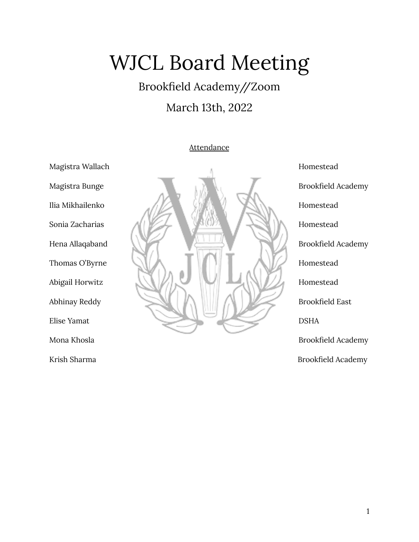# WJCL Board Meeting

# Brookfield Academy//Zoom March 13th, 2022

## **Attendance**



Krish Sharma Brookfield Academy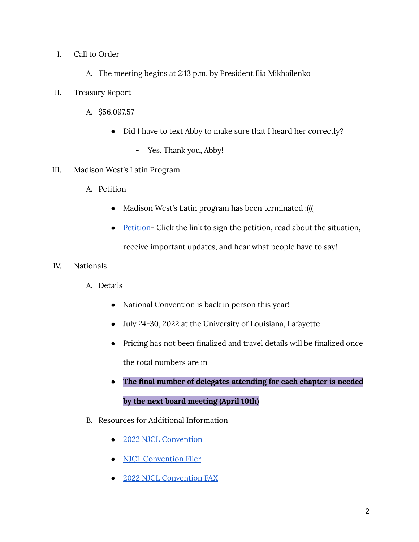- I. Call to Order
	- A. The meeting begins at 2:13 p.m. by President Ilia Mikhailenko
- II. Treasury Report
	- A. \$56,097.57
		- Did I have to text Abby to make sure that I heard her correctly?
			- Yes. Thank you, Abby!
- III. Madison West's Latin Program
	- A. Petition
		- Madison West's Latin program has been terminated :(((
		- [Petition](https://chng.it/8yBLZGS6w4) Click the link to sign the petition, read about the situation, receive important updates, and hear what people have to say!
- IV. Nationals
	- A. Details
		- National Convention is back in person this year!
		- July 24-30, 2022 at the University of Louisiana, Lafayette
		- Pricing has not been finalized and travel details will be finalized once the total numbers are in
		- **● The final number of delegates attending for each chapter is needed by the next board meeting (April 10th)**
	- B. Resources for Additional Information
		- 2022 NJCL [Convention](https://www.njcl.org/NJCL-Convention/2022-NJCL-Convention)
		- NJCL [Convention](https://www.njcl.org/Portals/1/NJCL%20Convention%20Flyer%202022.pdf) Flier
		- 2022 NJCL [Convention](https://www.njcl.org/Portals/1/2022%20NJCL%20Convention%20FAX.pdf) FAX